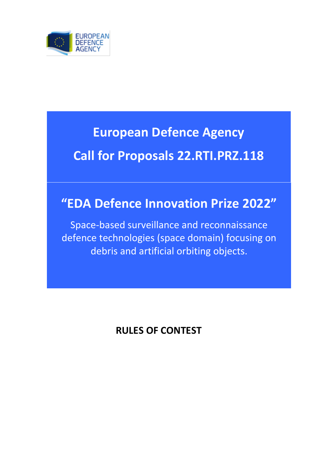

# **European Defence Agency**

# **Call for Proposals 22.RTI.PRZ.118**

# **"EDA Defence Innovation Prize 2022"**

Space-based surveillance and reconnaissance defence technologies (space domain) focusing on debris and artificial orbiting objects.

**RULES OF CONTEST**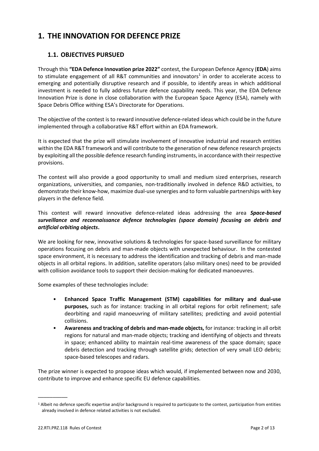# **1. THE INNOVATION FOR DEFENCE PRIZE**

### **1.1. OBJECTIVES PURSUED**

Through this **"EDA Defence Innovation prize 2022"** contest, the European Defence Agency (**EDA**) aims to stimulate engagement of all R&T communities and innovators<sup>1</sup> in order to accelerate access to emerging and potentially disruptive research and if possible, to identify areas in which additional investment is needed to fully address future defence capability needs. This year, the EDA Defence Innovation Prize is done in close collaboration with the European Space Agency (ESA), namely with Space Debris Office withing ESA's Directorate for Operations.

The objective of the contest is to reward innovative defence-related ideas which could be in the future implemented through a collaborative R&T effort within an EDA framework.

It is expected that the prize will stimulate involvement of innovative industrial and research entities within the EDA R&T framework and will contribute to the generation of new defence research projects by exploiting all the possible defence research funding instruments, in accordance with their respective provisions.

The contest will also provide a good opportunity to small and medium sized enterprises, research organizations, universities, and companies, non-traditionally involved in defence R&D activities, to demonstrate their know-how, maximize dual-use synergies and to form valuable partnerships with key players in the defence field.

This contest will reward innovative defence-related ideas addressing the area *Space-based surveillance and reconnaissance defence technologies (space domain) focusing on debris and artificial orbiting objects***.**

We are looking for new, innovative solutions & technologies for space-based surveillance for military operations focusing on debris and man-made objects with unexpected behaviour. In the contested space environment, it is necessary to address the identification and tracking of debris and man-made objects in all orbital regions. In addition, satellite operators (also military ones) need to be provided with collision avoidance tools to support their decision-making for dedicated manoeuvres.

Some examples of these technologies include:

- **Enhanced Space Traffic Management (STM) capabilities for military and dual-use purposes,** such as for instance: tracking in all orbital regions for orbit refinement; safe deorbiting and rapid manoeuvring of military satellites; predicting and avoid potential collisions.
- **Awareness and tracking of debris and man-made objects,** for instance: tracking in all orbit regions for natural and man-made objects; tracking and identifying of objects and threats in space; enhanced ability to maintain real-time awareness of the space domain; space debris detection and tracking through satellite grids; detection of very small LEO debris; space-based telescopes and radars.

The prize winner is expected to propose ideas which would, if implemented between now and 2030, contribute to improve and enhance specific EU defence capabilities.

\_\_\_\_\_\_\_\_\_\_

<sup>1</sup> Albeit no defence specific expertise and/or background is required to participate to the contest, participation from entities already involved in defence related activities is not excluded.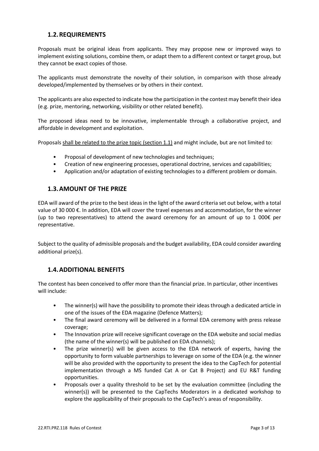#### **1.2.REQUIREMENTS**

Proposals must be original ideas from applicants. They may propose new or improved ways to implement existing solutions, combine them, or adapt them to a different context or target group, but they cannot be exact copies of those.

The applicants must demonstrate the novelty of their solution, in comparison with those already developed/implemented by themselves or by others in their context.

The applicants are also expected to indicate how the participation in the contest may benefit their idea (e.g. prize, mentoring, networking, visibility or other related benefit).

The proposed ideas need to be innovative, implementable through a collaborative project, and affordable in development and exploitation.

Proposals shall be related to the prize topic (section 1.1) and might include, but are not limited to:

- Proposal of development of new technologies and techniques;
- Creation of new engineering processes, operational doctrine, services and capabilities;
- Application and/or adaptation of existing technologies to a different problem or domain.

#### **1.3.AMOUNT OF THE PRIZE**

EDA will award of the prize to the best ideas in the light of the award criteria set out below, with a total value of 30 000 €. In addition, EDA will cover the travel expenses and accommodation, for the winner (up to two representatives) to attend the award ceremony for an amount of up to 1 000 $\epsilon$  per representative.

Subject to the quality of admissible proposals and the budget availability, EDA could consider awarding additional prize(s).

#### **1.4.ADDITIONAL BENEFITS**

The contest has been conceived to offer more than the financial prize. In particular, other incentives will include:

- The winner(s) will have the possibility to promote their ideas through a dedicated article in one of the issues of the EDA magazine (Defence Matters);
- The final award ceremony will be delivered in a formal EDA ceremony with press release coverage;
- The Innovation prize will receive significant coverage on the EDA website and social medias (the name of the winner(s) will be published on EDA channels);
- The prize winner(s) will be given access to the EDA network of experts, having the opportunity to form valuable partnerships to leverage on some of the EDA (e.g. the winner will be also provided with the opportunity to present the idea to the CapTech for potential implementation through a MS funded Cat A or Cat B Project) and EU R&T funding opportunities.
- Proposals over a quality threshold to be set by the evaluation committee (including the winner(s)) will be presented to the CapTechs Moderators in a dedicated workshop to explore the applicability of their proposals to the CapTech's areas of responsibility.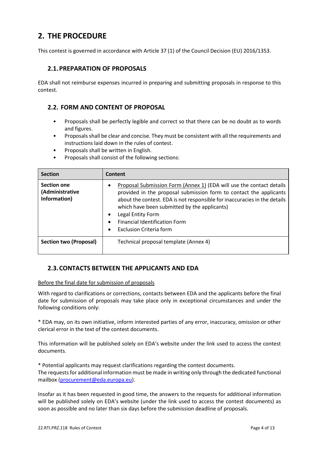# **2. THE PROCEDURE**

This contest is governed in accordance with Article 37 (1) of the Council Decision (EU) 2016/1353.

#### **2.1.PREPARATION OF PROPOSALS**

EDA shall not reimburse expenses incurred in preparing and submitting proposals in response to this contest.

#### **2.2. FORM AND CONTENT OF PROPOSAL**

- Proposals shall be perfectly legible and correct so that there can be no doubt as to words and figures.
- Proposals shall be clear and concise. They must be consistent with all the requirements and instructions laid down in the rules of contest.
- Proposals shall be written in English.
- Proposals shall consist of the following sections:

| <b>Section</b>                                        | Content                                                                                                                                                                                                                                                                                                                                                                           |
|-------------------------------------------------------|-----------------------------------------------------------------------------------------------------------------------------------------------------------------------------------------------------------------------------------------------------------------------------------------------------------------------------------------------------------------------------------|
| <b>Section one</b><br>(Administrative<br>Information) | Proposal Submission Form (Annex 1) (EDA will use the contact details<br>provided in the proposal submission form to contact the applicants<br>about the contest. EDA is not responsible for inaccuracies in the details<br>which have been submitted by the applicants)<br>Legal Entity Form<br>٠<br><b>Financial Identification Form</b><br>Exclusion Criteria form<br>$\bullet$ |
| <b>Section two (Proposal)</b>                         | Technical proposal template (Annex 4)                                                                                                                                                                                                                                                                                                                                             |

#### **2.3.CONTACTS BETWEEN THE APPLICANTS AND EDA**

#### Before the final date for submission of proposals

With regard to clarifications or corrections, contacts between EDA and the applicants before the final date for submission of proposals may take place only in exceptional circumstances and under the following conditions only:

\* EDA may, on its own initiative, inform interested parties of any error, inaccuracy, omission or other clerical error in the text of the contest documents.

This information will be published solely on EDA's website under the link used to access the contest documents.

\* Potential applicants may request clarifications regarding the contest documents. The requests for additional information must be made in writing only through the dedicated functional mailbox [\(procurement@eda.europa.eu\)](mailto:procurement@eda.europa.eu).

Insofar as it has been requested in good time, the answers to the requests for additional information will be published solely on EDA's website (under the link used to access the contest documents) as soon as possible and no later than six days before the submission deadline of proposals.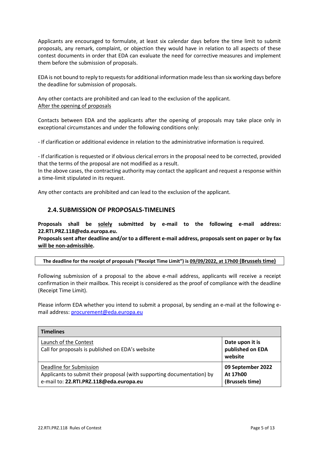Applicants are encouraged to formulate, at least six calendar days before the time limit to submit proposals, any remark, complaint, or objection they would have in relation to all aspects of these contest documents in order that EDA can evaluate the need for corrective measures and implement them before the submission of proposals.

EDA is not bound to reply to requests for additional information made less than six working days before the deadline for submission of proposals.

Any other contacts are prohibited and can lead to the exclusion of the applicant. After the opening of proposals

Contacts between EDA and the applicants after the opening of proposals may take place only in exceptional circumstances and under the following conditions only:

- If clarification or additional evidence in relation to the administrative information is required.

- If clarification is requested or if obvious clerical errors in the proposal need to be corrected, provided that the terms of the proposal are not modified as a result.

In the above cases, the contracting authority may contact the applicant and request a response within a time-limit stipulated in its request.

Any other contacts are prohibited and can lead to the exclusion of the applicant.

#### **2.4.SUBMISSION OF PROPOSALS-TIMELINES**

**Proposals shall be solely submitted by e-mail to the following e-mail address: 22.RTI.PRZ.118@eda.europa.eu.**

**Proposals sent after deadline and/or to a different e-mail address, proposals sent on paper or by fax will be non-admissible.**

**The deadline for the receipt of proposals ("Receipt Time Limit") is 09/09/2022, at 17h00 (Brussels time)**

Following submission of a proposal to the above e-mail address, applicants will receive a receipt confirmation in their mailbox. This receipt is considered as the proof of compliance with the deadline (Receipt Time Limit).

Please inform EDA whether you intend to submit a proposal, by sending an e-mail at the following email address[: procurement@eda.europa.eu](mailto:procurement@eda.europa.eu)

| <b>Timelines</b>                                                                                                                             |                                                  |
|----------------------------------------------------------------------------------------------------------------------------------------------|--------------------------------------------------|
| Launch of the Contest<br>Call for proposals is published on EDA's website                                                                    | Date upon it is<br>published on EDA<br>website   |
| Deadline for Submission<br>Applicants to submit their proposal (with supporting documentation) by<br>e-mail to: 22.RTI.PRZ.118@eda.europa.eu | 09 September 2022<br>At 17h00<br>(Brussels time) |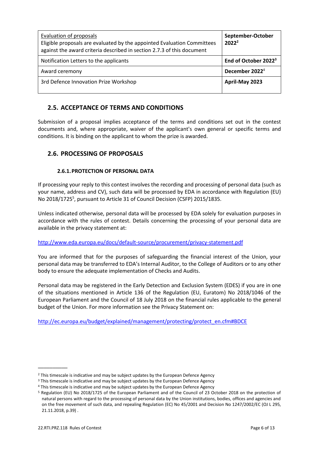| <b>Evaluation of proposals</b><br>Eligible proposals are evaluated by the appointed Evaluation Committees<br>against the award criteria described in section 2.7.3 of this document | September-October<br>$2022^2$    |
|-------------------------------------------------------------------------------------------------------------------------------------------------------------------------------------|----------------------------------|
| Notification Letters to the applicants                                                                                                                                              | End of October 2022 <sup>3</sup> |
| Award ceremony                                                                                                                                                                      | December 2022 <sup>4</sup>       |
| 3rd Defence Innovation Prize Workshop                                                                                                                                               | April-May 2023                   |

## **2.5. ACCEPTANCE OF TERMS AND CONDITIONS**

Submission of a proposal implies acceptance of the terms and conditions set out in the contest documents and, where appropriate, waiver of the applicant's own general or specific terms and conditions. It is binding on the applicant to whom the prize is awarded.

#### **2.6. PROCESSING OF PROPOSALS**

#### **2.6.1.PROTECTION OF PERSONAL DATA**

If processing your reply to this contest involves the recording and processing of personal data (such as your name, address and CV), such data will be processed by EDA in accordance with Regulation (EU) No 2018/1725<sup>5</sup>, pursuant to Article 31 of Council Decision (CSFP) 2015/1835.

Unless indicated otherwise, personal data will be processed by EDA solely for evaluation purposes in accordance with the rules of contest. Details concerning the processing of your personal data are available in the privacy statement at:

#### <http://www.eda.europa.eu/docs/default-source/procurement/privacy-statement.pdf>

You are informed that for the purposes of safeguarding the financial interest of the Union, your personal data may be transferred to EDA's Internal Auditor, to the College of Auditors or to any other body to ensure the adequate implementation of Checks and Audits.

Personal data may be registered in the Early Detection and Exclusion System (EDES) if you are in one of the situations mentioned in Article 136 of the Regulation (EU, Euratom) No 2018/1046 of the European Parliament and the Council of 18 July 2018 on the financial rules applicable to the general budget of the Union. For more information see the Privacy Statement on:

[http://ec.europa.eu/budget/explained/management/protecting/protect\\_en.cfm#BDCE](http://ec.europa.eu/budget/explained/management/protecting/protect_en.cfm#BDCE)

\_\_\_\_\_\_\_\_\_\_

 $2$  This timescale is indicative and may be subject updates by the European Defence Agency

<sup>&</sup>lt;sup>3</sup> This timescale is indicative and may be subject updates by the European Defence Agency

<sup>&</sup>lt;sup>4</sup> This timescale is indicative and may be subject updates by the European Defence Agency

<sup>5</sup> Regulation (EU) No 2018/1725 of the European Parliament and of the Council of 23 October 2018 on the protection of natural persons with regard to the processing of personal data by the Union institutions, bodies, offices and agencies and on the free movement of such data, and repealing Regulation (EC) No 45/2001 and Decision No 1247/2002/EC (OJ L 295, 21.11.2018, p.39) .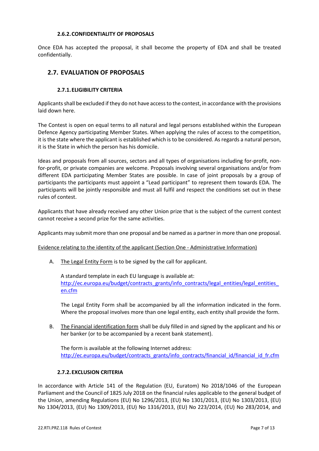#### **2.6.2.CONFIDENTIALITY OF PROPOSALS**

Once EDA has accepted the proposal, it shall become the property of EDA and shall be treated confidentially.

#### **2.7. EVALUATION OF PROPOSALS**

#### **2.7.1.ELIGIBILITY CRITERIA**

Applicants shall be excluded if they do not have access to the contest, in accordance with the provisions laid down here.

The Contest is open on equal terms to all natural and legal persons established within the European Defence Agency participating Member States. When applying the rules of access to the competition, it is the state where the applicant is established which is to be considered. As regards a natural person, it is the State in which the person has his domicile.

Ideas and proposals from all sources, sectors and all types of organisations including for-profit, nonfor-profit, or private companies are welcome. Proposals involving several organisations and/or from different EDA participating Member States are possible. In case of joint proposals by a group of participants the participants must appoint a "Lead participant" to represent them towards EDA. The participants will be jointly responsible and must all fulfil and respect the conditions set out in these rules of contest.

Applicants that have already received any other Union prize that is the subject of the current contest cannot receive a second prize for the same activities.

Applicants may submit more than one proposal and be named as a partner in more than one proposal.

Evidence relating to the identity of the applicant (Section One - Administrative Information)

A. The Legal Entity Form is to be signed by the call for applicant.

A standard template in each EU language is available at: [http://ec.europa.eu/budget/contracts\\_grants/info\\_contracts/legal\\_entities/legal\\_entities\\_](http://ec.europa.eu/budget/contracts_grants/info_contracts/legal_entities/legal_entities_en.cfm) [en.cfm](http://ec.europa.eu/budget/contracts_grants/info_contracts/legal_entities/legal_entities_en.cfm)

The Legal Entity Form shall be accompanied by all the information indicated in the form. Where the proposal involves more than one legal entity, each entity shall provide the form.

B. The Financial identification form shall be duly filled in and signed by the applicant and his or her banker (or to be accompanied by a recent bank statement).

The form is available at the following Internet address: http://ec.europa.eu/budget/contracts\_grants/info\_contracts/financial\_id/financial\_id\_fr.cfm

#### **2.7.2.EXCLUSION CRITERIA**

In accordance with Article 141 of the Regulation (EU, Euratom) No 2018/1046 of the European Parliament and the Council of 1825 July 2018 on the financial rules applicable to the general budget of the Union, amending Regulations (EU) No 1296/2013, (EU) No 1301/2013, (EU) No 1303/2013, (EU) No 1304/2013, (EU) No 1309/2013, (EU) No 1316/2013, (EU) No 223/2014, (EU) No 283/2014, and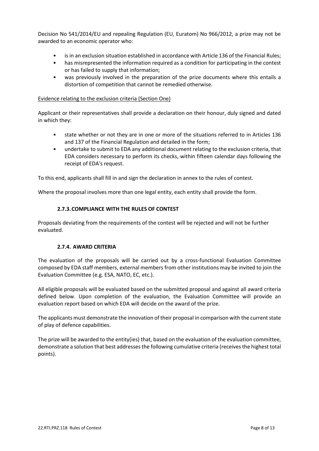Decision No 541/2014/EU and repealing Regulation (EU, Euratom) No 966/2012, a prize may not be awarded to an economic operator who:

- is in an exclusion situation established in accordance with Article 136 of the Financial Rules;
- has misrepresented the information required as a condition for participating in the contest or has failed to supply that information;
- was previously involved in the preparation of the prize documents where this entails a distortion of competition that cannot be remedied otherwise.

#### Evidence relating to the exclusion criteria (Section One)

Applicant or their representatives shall provide a declaration on their honour, duly signed and dated in which they:

- state whether or not they are in one or more of the situations referred to in Articles 136 and 137 of the Financial Regulation and detailed in the form;
- undertake to submit to EDA any additional document relating to the exclusion criteria, that EDA considers necessary to perform its checks, within fifteen calendar days following the receipt of EDA's request.

To this end, applicants shall fill in and sign the declaration in annex to the rules of contest.

Where the proposal involves more than one legal entity, each entity shall provide the form.

#### **2.7.3.COMPLIANCE WITH THE RULES OF CONTEST**

Proposals deviating from the requirements of the contest will be rejected and will not be further evaluated.

#### **2.7.4. AWARD CRITERIA**

The evaluation of the proposals will be carried out by a cross-functional Evaluation Committee composed by EDA staff members, external members from other institutions may be invited to join the Evaluation Committee (e.g. ESA, NATO, EC, etc.).

All eligible proposals will be evaluated based on the submitted proposal and against all award criteria defined below. Upon completion of the evaluation, the Evaluation Committee will provide an evaluation report based on which EDA will decide on the award of the prize.

The applicants must demonstrate the innovation of their proposal in comparison with the current state of play of defence capabilities.

The prize will be awarded to the entity(ies) that, based on the evaluation of the evaluation committee, demonstrate a solution that best addresses the following cumulative criteria (receivesthe highest total points).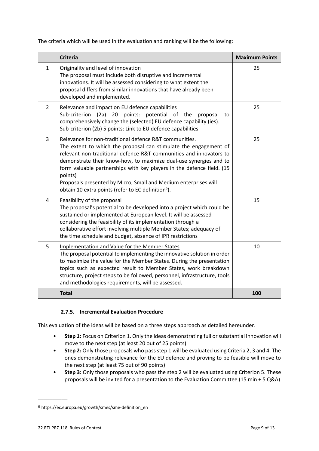The criteria which will be used in the evaluation and ranking will be the following:

|                | <b>Criteria</b>                                                                                                                                                                                                                                                                                                                                                                                                                                                                                | <b>Maximum Points</b> |
|----------------|------------------------------------------------------------------------------------------------------------------------------------------------------------------------------------------------------------------------------------------------------------------------------------------------------------------------------------------------------------------------------------------------------------------------------------------------------------------------------------------------|-----------------------|
| $\mathbf{1}$   | Originality and level of innovation<br>The proposal must include both disruptive and incremental<br>innovations. It will be assessed considering to what extent the<br>proposal differs from similar innovations that have already been<br>developed and implemented.                                                                                                                                                                                                                          | 25                    |
| $\overline{2}$ | Relevance and impact on EU defence capabilities<br>Sub-criterion (2a)<br>20 points: potential of the<br>proposal<br>to<br>comprehensively change the (selected) EU defence capability (ies).<br>Sub-criterion (2b) 5 points: Link to EU defence capabilities                                                                                                                                                                                                                                   | 25                    |
| $\overline{3}$ | Relevance for non-traditional defence R&T communities.<br>The extent to which the proposal can stimulate the engagement of<br>relevant non-traditional defence R&T communities and innovators to<br>demonstrate their know-how, to maximize dual-use synergies and to<br>form valuable partnerships with key players in the defence field. (15<br>points)<br>Proposals presented by Micro, Small and Medium enterprises will<br>obtain 10 extra points (refer to EC definition <sup>6</sup> ). | 25                    |
| 4              | Feasibility of the proposal<br>The proposal's potential to be developed into a project which could be<br>sustained or implemented at European level. It will be assessed<br>considering the feasibility of its implementation through a<br>collaborative effort involving multiple Member States; adequacy of<br>the time schedule and budget, absence of IPR restrictions                                                                                                                     | 15                    |
| 5              | <b>Implementation and Value for the Member States</b><br>The proposal potential to implementing the innovative solution in order<br>to maximize the value for the Member States. During the presentation<br>topics such as expected result to Member States, work breakdown<br>structure, project steps to be followed, personnel, infrastructure, tools<br>and methodologies requirements, will be assessed.                                                                                  | 10                    |
|                | <b>Total</b>                                                                                                                                                                                                                                                                                                                                                                                                                                                                                   | 100                   |

#### **2.7.5. Incremental Evaluation Procedure**

This evaluation of the ideas will be based on a three steps approach as detailed hereunder.

- **Step 1:** Focus on Criterion 1. Only the ideas demonstrating full or substantial innovation will move to the next step (at least 20 out of 25 points)
- **Step 2:** Only those proposals who pass step 1 will be evaluated using Criteria 2, 3 and 4. The ones demonstrating relevance for the EU defence and proving to be feasible will move to the next step (at least 75 out of 90 points)
- **Step 3:** Only those proposals who pass the step 2 will be evaluated using Criterion 5. These proposals will be invited for a presentation to the Evaluation Committee (15 min + 5 Q&A)

 $\overline{\phantom{a}}$ 

<sup>6</sup> https://ec.europa.eu/growth/smes/sme-definition\_en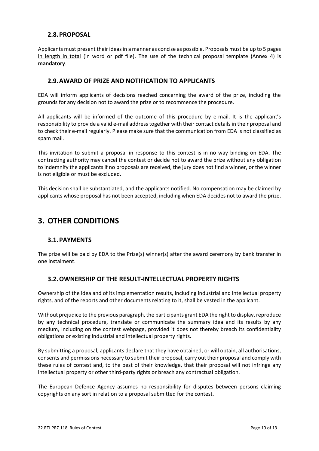#### **2.8.PROPOSAL**

Applicants must present their ideas in a manner as concise as possible. Proposals must be up to 5 pages in length in total (in word or pdf file). The use of the technical proposal template (Annex 4) is **mandatory**.

#### **2.9.AWARD OF PRIZE AND NOTIFICATION TO APPLICANTS**

EDA will inform applicants of decisions reached concerning the award of the prize, including the grounds for any decision not to award the prize or to recommence the procedure.

All applicants will be informed of the outcome of this procedure by e-mail. It is the applicant's responsibility to provide a valid e-mail address together with their contact details in their proposal and to check their e-mail regularly. Please make sure that the communication from EDA is not classified as spam mail.

This invitation to submit a proposal in response to this contest is in no way binding on EDA. The contracting authority may cancel the contest or decide not to award the prize without any obligation to indemnify the applicants if no proposals are received, the jury does not find a winner, or the winner is not eligible or must be excluded.

This decision shall be substantiated, and the applicants notified. No compensation may be claimed by applicants whose proposal has not been accepted, including when EDA decides not to award the prize.

# **3. OTHER CONDITIONS**

#### **3.1.PAYMENTS**

The prize will be paid by EDA to the Prize(s) winner(s) after the award ceremony by bank transfer in one instalment.

#### **3.2.OWNERSHIP OF THE RESULT-INTELLECTUAL PROPERTY RIGHTS**

Ownership of the idea and of its implementation results, including industrial and intellectual property rights, and of the reports and other documents relating to it, shall be vested in the applicant.

Without prejudice to the previous paragraph, the participants grant EDA the right to display, reproduce by any technical procedure, translate or communicate the summary idea and its results by any medium, including on the contest webpage, provided it does not thereby breach its confidentiality obligations or existing industrial and intellectual property rights.

By submitting a proposal, applicants declare that they have obtained, or will obtain, all authorisations, consents and permissions necessary to submit their proposal, carry out their proposal and comply with these rules of contest and, to the best of their knowledge, that their proposal will not infringe any intellectual property or other third-party rights or breach any contractual obligation.

The European Defence Agency assumes no responsibility for disputes between persons claiming copyrights on any sort in relation to a proposal submitted for the contest.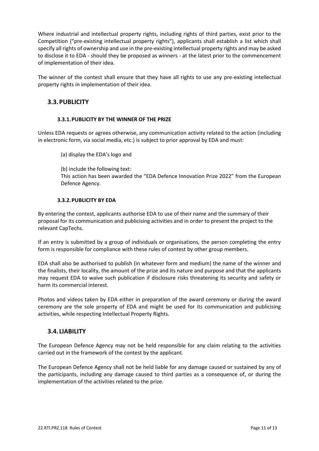Where industrial and intellectual property rights, including rights of third parties, exist prior to the Competition ("pre-existing intellectual property rights"), applicants shall establish a list which shall specify all rights of ownership and use in the pre-existing intellectual property rights and may be asked to disclose it to EDA - should they be proposed as winners - at the latest prior to the commencement of implementation of their idea.

The winner of the contest shall ensure that they have all rights to use any pre-existing intellectual property rights in implementation of their idea.

#### **3.3.PUBLICITY**

#### **3.3.1.PUBLICITY BY THE WINNER OF THE PRIZE**

Unless EDA requests or agrees otherwise, any communication activity related to the action (including in electronic form, via social media, etc.) is subject to prior approval by EDA and must:

(a) display the EDA's logo and

(b) include the following text: This action has been awarded the "EDA Defence Innovation Prize 2022" from the European Defence Agency.

#### **3.3.2.PUBLICITY BY EDA**

By entering the contest, applicants authorise EDA to use of their name and the summary of their proposal for its communication and publicising activities and in order to present the project to the relevant CapTechs.

If an entry is submitted by a group of individuals or organisations, the person completing the entry form is responsible for compliance with these rules of contest by other group members.

EDA shall also be authorised to publish (in whatever form and medium) the name of the winner and the finalists, their locality, the amount of the prize and its nature and purpose and that the applicants may request EDA to waive such publication if disclosure risks threatening its security and safety or harm its commercial interest.

Photos and videos taken by EDA either in preparation of the award ceremony or during the award ceremony are the sole property of EDA and might be used for its communication and publicising activities, while respecting Intellectual Property Rights.

#### **3.4. LIABILITY**

The European Defence Agency may not be held responsible for any claim relating to the activities carried out in the framework of the contest by the applicant.

The European Defence Agency shall not be held liable for any damage caused or sustained by any of the participants, including any damage caused to third parties as a consequence of, or during the implementation of the activities related to the prize.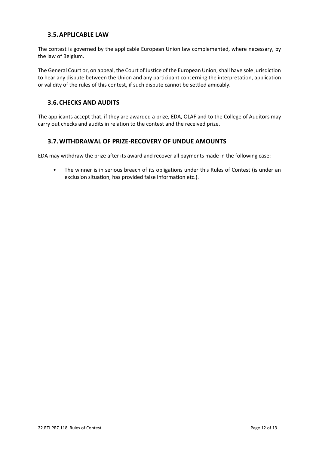#### **3.5.APPLICABLE LAW**

The contest is governed by the applicable European Union law complemented, where necessary, by the law of Belgium.

The General Court or, on appeal, the Court of Justice of the European Union, shall have sole jurisdiction to hear any dispute between the Union and any participant concerning the interpretation, application or validity of the rules of this contest, if such dispute cannot be settled amicably.

#### **3.6.CHECKS AND AUDITS**

The applicants accept that, if they are awarded a prize, EDA, OLAF and to the College of Auditors may carry out checks and audits in relation to the contest and the received prize.

#### **3.7.WITHDRAWAL OF PRIZE-RECOVERY OF UNDUE AMOUNTS**

EDA may withdraw the prize after its award and recover all payments made in the following case:

• The winner is in serious breach of its obligations under this Rules of Contest (is under an exclusion situation, has provided false information etc.).